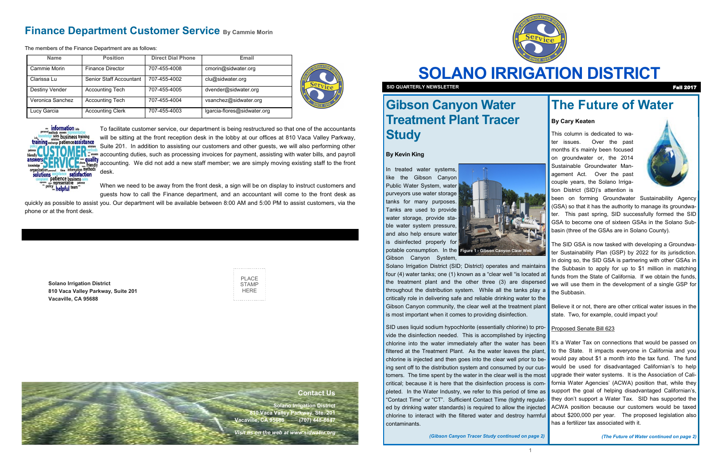

# **SOLANO IRRIGATION DISTRICT**

**SID QUARTERLY NEWSLETTER** Fall 2017

**Solano Irrigation District 810 Vaca Valley Parkway, Suite 201 Vacaville, CA 95688**

| PI ACF |
|--------|
| STAMP  |
| HFRF   |
|        |

## **Gibson Canyon Water Treatment Plant Tracer Study**

### **By Kevin King**

In treated water systems, like the Gibson Canyon Public Water System, water purveyors use water storage tanks for many purposes. Tanks are used to provide water storage, provide stable water system pressure, and also help ensure water is disinfected properly for

Gibson Canyon System,

Solano Irrigation District (SID; District) operates and maintains four (4) water tanks; one (1) known as a "clear well "is located at the treatment plant and the other three (3) are dispersed throughout the distribution system. While all the tanks play a critically role in delivering safe and reliable drinking water to the is most important when it comes to providing disinfection.

SID uses liquid sodium hypochlorite (essentially chlorine) to provide the disinfection needed. This is accomplished by injecting chlorine into the water immediately after the water has been It's a Water Tax on connections that would be passed on filtered at the Treatment Plant. As the water leaves the plant, to the State. It impacts everyone in California and you chlorine is injected and then goes into the clear well prior to being sent off to the distribution system and consumed by our customers. The time spent by the water in the clear well is the most critical; because it is here that the disinfection process is completed. In the Water Industry, we refer to this period of time as support the goal of helping disadvantaged Californian's, "Contact Time" or "CT". Sufficient Contact Time (tightly regulated by drinking water standards) is required to allow the injected chlorine to interact with the filtered water and destroy harmful contaminants.

*(Gibson Canyon Tracer Study continued on page 2)*



### **Finance Department Customer Service By Cammie Morin**

The members of the Finance Department are as follows:

The SID GSA is now tasked with developing a Groundwater Sustainability Plan (GSP) by 2022 for its jurisdiction. In doing so, the SID GSA is partnering with other GSAs in the Subbasin to apply for up to \$1 million in matching funds from the State of California. If we obtain the funds. we will use them in the development of a single GSP for the Subbasin.

Gibson Canyon community, the clear well at the treatment plant Believe it or not, there are other critical water issues in the state. Two, for example, could impact you!

To facilitate customer service, our department is being restructured so that one of the accountants will be sitting at the front reception desk in the lobby at our offices at 810 Vaca Valley Parkway, Suite 201. In addition to assisting our customers and other guests, we will also performing other accounting duties, such as processing invoices for payment, assisting with water bills, and payroll accounting. We did not add a new staff member; we are simply moving existing staff to the front desk.

When we need to be away from the front desk, a sign will be on display to instruct customers and guests how to call the Finance department, and an accountant will come to the front desk as

quickly as possible to assist you. Our department will be available between 8:00 AM and 5:00 PM to assist customers, via the phone or at the front desk.

| <b>Name</b>      | <b>Position</b>         | <b>Direct Dial Phone</b> | Email                       |  |
|------------------|-------------------------|--------------------------|-----------------------------|--|
| Cammie Morin     | Finance Director        | 707-455-4008             | cmorin@sidwater.org         |  |
| Clarissa Lu      | Senior Staff Accountant | 707-455-4002             | clu@sidwater.org            |  |
| Destiny Vender   | <b>Accounting Tech</b>  | 707-455-4005             | dvender@sidwater.org        |  |
| Veronica Sanchez | <b>Accounting Tech</b>  | 707-455-4004             | vsanchez@sidwater.org       |  |
| Lucy Garcia      | <b>Accounting Clerk</b> | 707-455-4003             | lgarcia-flores@sidwater.org |  |





### **Contact Us**

**Solano Irrigation District 810 Vaca Valley Parkway, Ste. 201 Vacaville, CA 95688 (707) 448-6847** 

*Visit us on the web at www.sidwater.org*

## **The Future of Water**

### **By Cary Keaten**

This column is dedicated to water issues. Over the past months it's mainly been focused on groundwater or, the 2014 Sustainable Groundwater Management Act. Over the past couple years, the Solano Irrigation District (SID)'s attention is



been on forming Groundwater Sustainability Agency (GSA) so that it has the authority to manage its groundwater. This past spring, SID successfully formed the SID GSA to become one of sixteen GSAs in the Solano Subbasin (three of the GSAs are in Solano County).

### Proposed Senate Bill 623

would pay about \$1 a month into the tax fund. The fund would be used for disadvantaged Californian's to help upgrade their water systems. It is the Association of California Water Agencies' (ACWA) position that, while they they don't support a Water Tax. SID has supported the ACWA position because our customers would be taxed about \$200,000 per year. The proposed legislation also has a fertilizer tax associated with it.